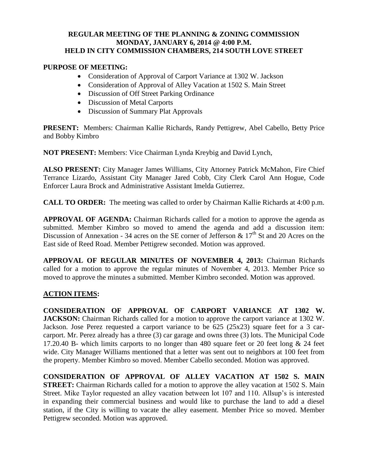## **REGULAR MEETING OF THE PLANNING & ZONING COMMISSION MONDAY, JANUARY 6, 2014 @ 4:00 P.M. HELD IN CITY COMMISSION CHAMBERS, 214 SOUTH LOVE STREET**

## **PURPOSE OF MEETING:**

- Consideration of Approval of Carport Variance at 1302 W. Jackson
- Consideration of Approval of Alley Vacation at 1502 S. Main Street
- Discussion of Off Street Parking Ordinance
- Discussion of Metal Carports
- Discussion of Summary Plat Approvals

**PRESENT:** Members: Chairman Kallie Richards, Randy Pettigrew, Abel Cabello, Betty Price and Bobby Kimbro

**NOT PRESENT:** Members: Vice Chairman Lynda Kreybig and David Lynch,

**ALSO PRESENT:** City Manager James Williams, City Attorney Patrick McMahon, Fire Chief Terrance Lizardo, Assistant City Manager Jared Cobb, City Clerk Carol Ann Hogue, Code Enforcer Laura Brock and Administrative Assistant Imelda Gutierrez.

**CALL TO ORDER:** The meeting was called to order by Chairman Kallie Richards at 4:00 p.m.

**APPROVAL OF AGENDA:** Chairman Richards called for a motion to approve the agenda as submitted. Member Kimbro so moved to amend the agenda and add a discussion item: Discussion of Annexation - 34 acres on the SE corner of Jefferson  $\& 17<sup>th</sup>$  St and 20 Acres on the East side of Reed Road. Member Pettigrew seconded. Motion was approved.

**APPROVAL OF REGULAR MINUTES OF NOVEMBER 4, 2013:** Chairman Richards called for a motion to approve the regular minutes of November 4, 2013. Member Price so moved to approve the minutes a submitted. Member Kimbro seconded. Motion was approved.

# **ACTION ITEMS:**

**CONSIDERATION OF APPROVAL OF CARPORT VARIANCE AT 1302 W. JACKSON:** Chairman Richards called for a motion to approve the carport variance at 1302 W. Jackson. Jose Perez requested a carport variance to be 625 (25x23) square feet for a 3 carcarport. Mr. Perez already has a three (3) car garage and owns three (3) lots. The Municipal Code 17.20.40 B- which limits carports to no longer than 480 square feet or 20 feet long & 24 feet wide. City Manager Williams mentioned that a letter was sent out to neighbors at 100 feet from the property. Member Kimbro so moved. Member Cabello seconded. Motion was approved.

**CONSIDERATION OF APPROVAL OF ALLEY VACATION AT 1502 S. MAIN STREET:** Chairman Richards called for a motion to approve the alley vacation at 1502 S. Main Street. Mike Taylor requested an alley vacation between lot 107 and 110. Allsup's is interested in expanding their commercial business and would like to purchase the land to add a diesel station, if the City is willing to vacate the alley easement. Member Price so moved. Member Pettigrew seconded. Motion was approved.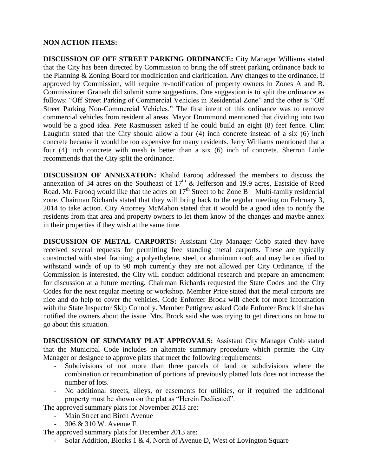## **NON ACTION ITEMS:**

**DISCUSSION OF OFF STREET PARKING ORDINANCE:** City Manager Williams stated that the City has been directed by Commission to bring the off street parking ordinance back to the Planning & Zoning Board for modification and clarification. Any changes to the ordinance, if approved by Commission, will require re-notification of property owners in Zones A and B. Commissioner Granath did submit some suggestions. One suggestion is to split the ordinance as follows: "Off Street Parking of Commercial Vehicles in Residential Zone" and the other is "Off Street Parking Non-Commercial Vehicles." The first intent of this ordinance was to remove commercial vehicles from residential areas. Mayor Drummond mentioned that dividing into two would be a good idea. Pete Rasmussen asked if he could build an eight (8) feet fence. Clint Laughrin stated that the City should allow a four (4) inch concrete instead of a six (6) inch concrete because it would be too expensive for many residents. Jerry Williams mentioned that a four (4) inch concrete with mesh is better than a six (6) inch of concrete. Sherron Little recommends that the City split the ordinance.

**DISCUSSION OF ANNEXATION:** Khalid Farooq addressed the members to discuss the annexation of 34 acres on the Southeast of  $17<sup>th</sup>$  & Jefferson and 19.9 acres, Eastside of Reed Road. Mr. Farooq would like that the acres on  $17<sup>th</sup>$  Street to be Zone B – Multi-family residential zone. Chairman Richards stated that they will bring back to the regular meeting on February 3, 2014 to take action. City Attorney McMahon stated that it would be a good idea to notify the residents from that area and property owners to let them know of the changes and maybe annex in their properties if they wish at the same time.

**DISCUSSION OF METAL CARPORTS:** Assistant City Manager Cobb stated they have received several requests for permitting free standing metal carports. These are typically constructed with steel framing; a polyethylene, steel, or aluminum roof; and may be certified to withstand winds of up to 90 mph currently they are not allowed per City Ordinance, if the Commission is interested, the City will conduct additional research and prepare an amendment for discussion at a future meeting. Chairman Richards requested the State Codes and the City Codes for the next regular meeting or workshop. Member Price stated that the metal carports are nice and do help to cover the vehicles. Code Enforcer Brock will check for more information with the State Inspector Skip Connolly. Member Pettigrew asked Code Enforcer Brock if she has notified the owners about the issue. Mrs. Brock said she was trying to get directions on how to go about this situation.

**DISCUSSION OF SUMMARY PLAT APPROVALS:** Assistant City Manager Cobb stated that the Municipal Code includes an alternate summary procedure which permits the City Manager or designee to approve plats that meet the following requirements:

- Subdivisions of not more than three parcels of land or subdivisions where the combination or recombination of portions of previously platted lots does not increase the number of lots.
- No additional streets, alleys, or easements for utilities, or if required the additional property must be shown on the plat as "Herein Dedicated".

The approved summary plats for November 2013 are:

- Main Street and Birch Avenue
- 306 & 310 W. Avenue F.

The approved summary plats for December 2013 are:

- Solar Addition, Blocks 1 & 4, North of Avenue D, West of Lovington Square